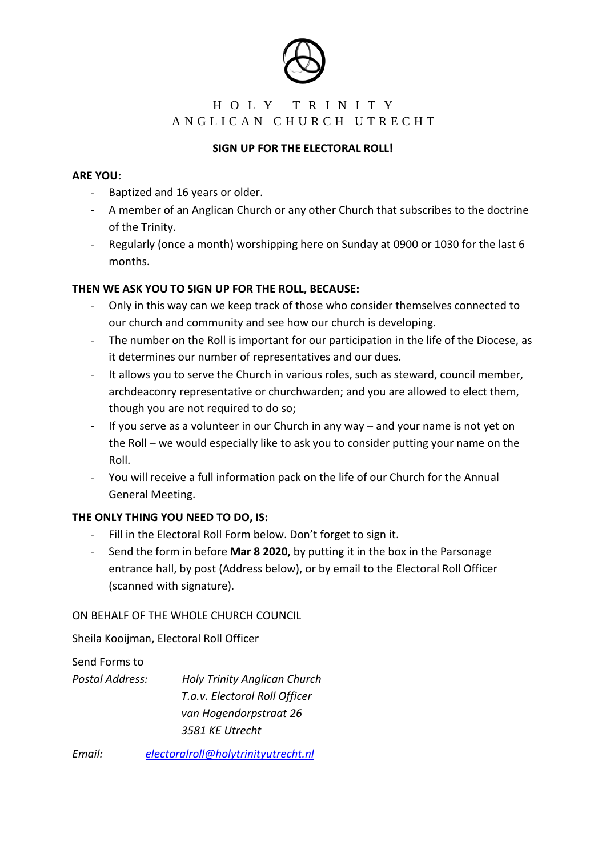

## HOLY TRINIT Y ANGLICAN CHURCH UTRECHT

#### **SIGN UP FOR THE ELECTORAL ROLL!**

#### **ARE YOU:**

- Baptized and 16 years or older.
- A member of an Anglican Church or any other Church that subscribes to the doctrine of the Trinity.
- Regularly (once a month) worshipping here on Sunday at 0900 or 1030 for the last 6 months.

### **THEN WE ASK YOU TO SIGN UP FOR THE ROLL, BECAUSE:**

- Only in this way can we keep track of those who consider themselves connected to our church and community and see how our church is developing.
- The number on the Roll is important for our participation in the life of the Diocese, as it determines our number of representatives and our dues.
- It allows you to serve the Church in various roles, such as steward, council member, archdeaconry representative or churchwarden; and you are allowed to elect them, though you are not required to do so;
- If you serve as a volunteer in our Church in any way and your name is not yet on the Roll – we would especially like to ask you to consider putting your name on the Roll.
- You will receive a full information pack on the life of our Church for the Annual General Meeting.

#### **THE ONLY THING YOU NEED TO DO, IS:**

- Fill in the Electoral Roll Form below. Don't forget to sign it.
- Send the form in before **Mar 8 2020,** by putting it in the box in the Parsonage entrance hall, by post (Address below), or by email to the Electoral Roll Officer (scanned with signature).

ON BEHALF OF THE WHOLE CHURCH COUNCIL

Sheila Kooijman, Electoral Roll Officer

#### Send Forms to

| Postal Address: | <b>Holy Trinity Anglican Church</b> |
|-----------------|-------------------------------------|
|                 | T.a.v. Electoral Roll Officer       |
|                 | van Hogendorpstraat 26              |
|                 | 3581 KE Utrecht                     |
|                 |                                     |

*Email: [electoralroll@holytrinityutrecht.nl](mailto:electoralroll@holytrinityutrecht.nl)*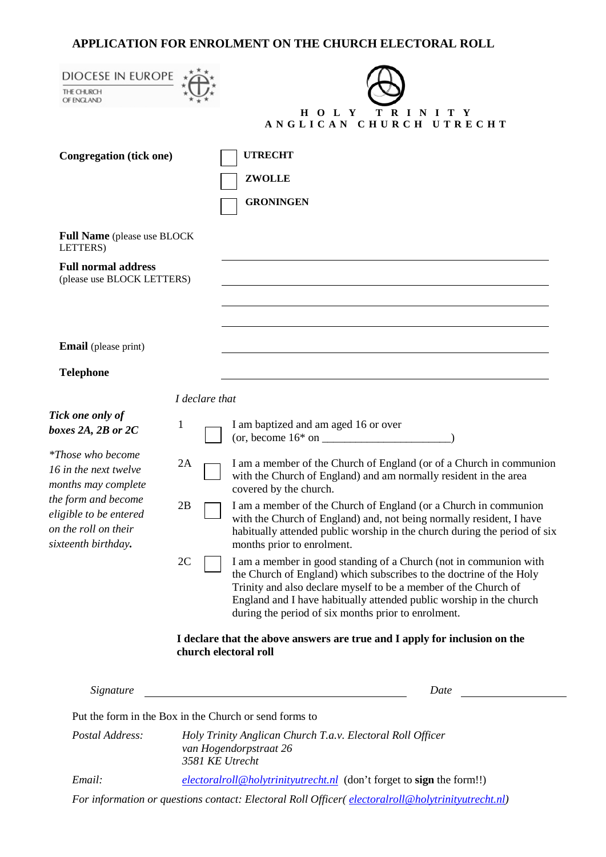# **APPLICATION FOR ENROLMENT ON THE CHURCH ELECTORAL ROLL**

| DIOCESE IN EUROPE<br>THE CHURCH<br>OF ENGLAND                                                |                                                                                                         |                                                                                                                                                                                                                                                                                                                                           |
|----------------------------------------------------------------------------------------------|---------------------------------------------------------------------------------------------------------|-------------------------------------------------------------------------------------------------------------------------------------------------------------------------------------------------------------------------------------------------------------------------------------------------------------------------------------------|
|                                                                                              |                                                                                                         | HOLY<br>т<br>R<br>N<br>л.<br>- 1<br>T<br><b>ANGLICAN</b><br>CHURCH UTRECHT                                                                                                                                                                                                                                                                |
| <b>Congregation (tick one)</b>                                                               |                                                                                                         | <b>UTRECHT</b>                                                                                                                                                                                                                                                                                                                            |
|                                                                                              |                                                                                                         | <b>ZWOLLE</b>                                                                                                                                                                                                                                                                                                                             |
|                                                                                              |                                                                                                         | <b>GRONINGEN</b>                                                                                                                                                                                                                                                                                                                          |
| <b>Full Name</b> (please use BLOCK<br>LETTERS)                                               |                                                                                                         |                                                                                                                                                                                                                                                                                                                                           |
| <b>Full normal address</b><br>(please use BLOCK LETTERS)                                     |                                                                                                         |                                                                                                                                                                                                                                                                                                                                           |
|                                                                                              |                                                                                                         |                                                                                                                                                                                                                                                                                                                                           |
| <b>Email</b> (please print)                                                                  |                                                                                                         |                                                                                                                                                                                                                                                                                                                                           |
| <b>Telephone</b>                                                                             |                                                                                                         |                                                                                                                                                                                                                                                                                                                                           |
|                                                                                              | I declare that                                                                                          |                                                                                                                                                                                                                                                                                                                                           |
| Tick one only of<br>boxes $2A$ , $2B$ or $2C$                                                | 1                                                                                                       | I am baptized and am aged 16 or over                                                                                                                                                                                                                                                                                                      |
| <i>*Those who become</i><br>2A<br>16 in the next twelve<br>months may complete               |                                                                                                         | I am a member of the Church of England (or of a Church in communion<br>with the Church of England) and am normally resident in the area<br>covered by the church.                                                                                                                                                                         |
| the form and become<br>eligible to be entered<br>on the roll on their<br>sixteenth birthday. | 2B                                                                                                      | I am a member of the Church of England (or a Church in communion<br>with the Church of England) and, not being normally resident, I have<br>habitually attended public worship in the church during the period of six<br>months prior to enrolment.                                                                                       |
|                                                                                              | 2C                                                                                                      | I am a member in good standing of a Church (not in communion with<br>the Church of England) which subscribes to the doctrine of the Holy<br>Trinity and also declare myself to be a member of the Church of<br>England and I have habitually attended public worship in the church<br>during the period of six months prior to enrolment. |
|                                                                                              |                                                                                                         | I declare that the above answers are true and I apply for inclusion on the<br>church electoral roll                                                                                                                                                                                                                                       |
| Signature                                                                                    |                                                                                                         | Date                                                                                                                                                                                                                                                                                                                                      |
|                                                                                              |                                                                                                         | Put the form in the Box in the Church or send forms to                                                                                                                                                                                                                                                                                    |
| Postal Address:                                                                              | Holy Trinity Anglican Church T.a.v. Electoral Roll Officer<br>van Hogendorpstraat 26<br>3581 KE Utrecht |                                                                                                                                                                                                                                                                                                                                           |
| Email:                                                                                       |                                                                                                         | <i>electoralroll@holytrinityutrecht.nl</i> (don't forget to sign the form!!)                                                                                                                                                                                                                                                              |
|                                                                                              |                                                                                                         | For information or questions contact: Electoral Roll Officer(electoralroll@holytrinityutrecht.nl)                                                                                                                                                                                                                                         |